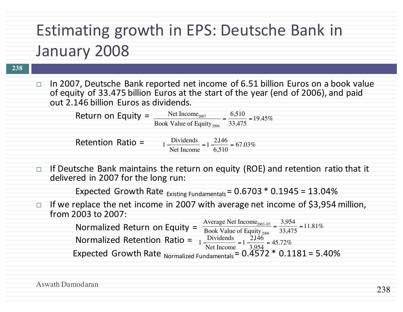## Estimating growth in EPS: Deutsche Bank in January 2008

#### **238**

In 2007, Deutsche Bank reported net income of 6.51 billion Euros on a book value of equity of 33.475 billion Euros at the start of the year (end of 2006), and paid out 2.146 billion Euros as dividends.

2,146

 $\frac{2448}{6,510}$  = 67.03%

Return on Equity =  $\frac{\text{Net Income}_{2007}}{\text{Net Income}_{2007}}$ Book Value of Equity $_{2006}$  $=\frac{6,510}{32,476}$  $\frac{33,475}{33,475}$  = 19.45%

Retention Ratio  $=$ 1 − Dividends  $\frac{P}{N} = 1 -$ <br>Net Income

 $\Box$  If Deutsche Bank maintains the return on equity (ROE) and retention ratio that it delivered in 2007 for the long run:

Expected Growth Rate  $_{\text{Existing Fundamentals}} = 0.6703 * 0.1945 = 13.04\%$ 

 $\Box$  If we replace the net income in 2007 with average net income of \$3,954 million, from 2003 to 2007:

> Normalized Return on Equity =  $\frac{\text{Average Net Income}_{2003-07}}{\text{Book Value of Equity}_{2003-07}}$ Normalized Retention Ratio = Expected Growth Rate  $_{\text{Normalized Fundamentals}} = 0.4572 * 0.1181 = 5.40\%$ Book Value of Equity<sub>2006</sub>  $=\frac{3,954}{32,474}$  $\frac{33,475}{33,475}$  = 11.81% 1 − Dividends  $\frac{1}{\text{Net Income}} = 1 -$ 2,146  $\frac{254}{3,954}$  = 45.72%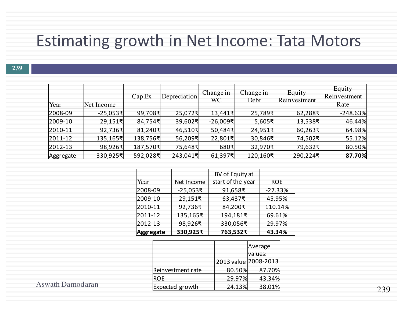#### Estimating growth in Net Income: Tata Motors

| Year        | Net Income | Cap Ex   | Depreciation | Change in<br>WC       | Change in<br>Debt | Equity<br>Reinvestment | Equity<br>Reinvestment<br>Rate |
|-------------|------------|----------|--------------|-----------------------|-------------------|------------------------|--------------------------------|
| 2008-09     | -25,053₹   | 99,708퀵  | 25,072회      | 13,441₹               | 25,789쿡           | 62,288₹                | $-248.63%$                     |
| $ 2009-10 $ | 29,151     | 84,754₹  | 39,602회      | $-26,009\overline{5}$ | 5,605₹            | 13,538₹                | 46.44%                         |
| $ 2010-11 $ | 92,736~    | 81,240₹  | 46,510₹      | 50,484₹               | 24,951회           | 60,263₹                | 64.98%                         |
| $ 2011-12 $ | 135,165₹   | 138,756₹ | 56,209퀵      | 22,801~               | 30,846회           | 74,502₹                | 55.12%                         |
| $ 2012-13 $ | 98,926₹    | 187,570  | 75,648₹      | 680₹                  | 32,970₹           | 79,632₹                | 80.50%                         |
| Aggregate   | 330,925퀵   | 592,028₹ | 243,041      | 61,397₹               | 120,160~          | 290,224                | 87.70%                         |

|                  |            | BV of Equity at   |            |
|------------------|------------|-------------------|------------|
| Year             | Net Income | start of the year | <b>ROE</b> |
| 2008-09          | -25,053₹   | 91,658₹           | $-27.33%$  |
| 2009-10          | 29,151₹    | 63,437₹           | 45.95%     |
| 2010-11          | 92,736₹    | 84,200₹           | 110.14%    |
| 2011-12          | 135,165₹   | 194,181₹          | 69.61%     |
| 2012-13          | 98,926₹    | 330,056₹          | 29.97%     |
| <b>Aggregate</b> | 330,925₹   | 763,532₹          | 43.34%     |

|                   |                      | Average<br>values: |
|-------------------|----------------------|--------------------|
|                   | 2013 value 2008-2013 |                    |
| Reinvestment rate | 80.50%               | 87.70%             |
| <b>ROE</b>        | 29.97%               | 43.34%             |
| Expected growth   | 24.13%               | 38.01%             |

Aswath Damodaran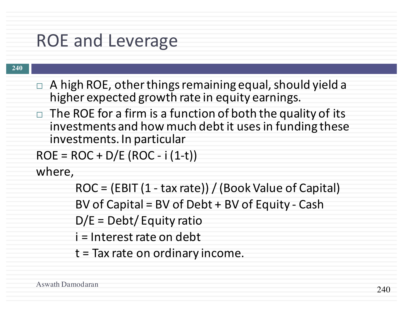### ROE and Leverage

#### **240**

- $\Box$  A high ROE, other things remaining equal, should yield a higher expected growth rate in equity earnings.
- $\Box$  The ROE for a firm is a function of both the quality of its investments and how much debt it uses in funding these investments. In particular

```
ROE = ROC + D/E (ROC - i (1-t))
```
where,

 $ROC = (EBIT (1 - tax rate)) / (Book Value of Capital)$ 

BV of Capital =  $BV$  of Debt +  $BV$  of Equity - Cash

 $D/E = Debt/Equity ratio$ 

i = Interest rate on debt

 $t =$  Tax rate on ordinary income.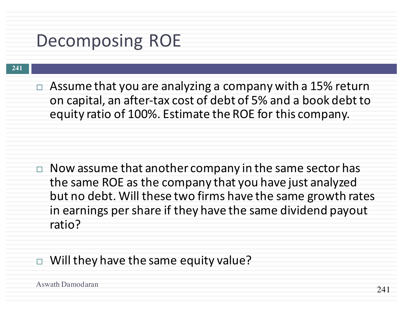### Decomposing ROE

#### **241**

 $\Box$  Assume that you are analyzing a company with a 15% return on capital, an after-tax cost of debt of 5% and a book debt to equity ratio of 100%. Estimate the ROE for this company.

 $\Box$  Now assume that another company in the same sector has the same ROE as the company that you have just analyzed but no debt. Will these two firms have the same growth rates in earnings per share if they have the same dividend payout ratio?

#### $\Box$  Will they have the same equity value?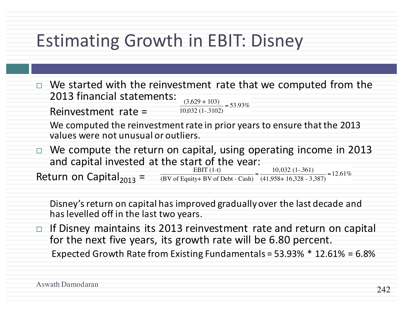## Estimating Growth in EBIT: Disney

- $\Box$  We started with the reinvestment rate that we computed from the 2013 financial statements:  $\frac{(3,629 + 103)}{10,000(1,3100)} = 53.93\%$ 
	- Reinvestment rate  $=$ 10,032 (1-.3102)
	- We computed the reinvestment rate in prior years to ensure that the 2013 values were not unusual or outliers.
- $\Box$  We compute the return on capital, using operating income in 2013 and capital invested at the start of the vear:<br> $EBIT(1-t)$

Return on Capital $_{2013}$  = EBIT (1-t) (BV of Equity+ BV of Debt - Cash)  $=\frac{10,032(1-.361)}{(41,059,16,329,2)}$ (41,958+ 16,328 - 3,387) 10,032  $\underline{(1-.361)}$  = 12.61%

Disney's return on capital has improved gradually over the last decade and has levelled off in the last two years.

 $\Box$  If Disney maintains its 2013 reinvestment rate and return on capital for the next five years, its growth rate will be 6.80 percent. Expected Growth Rate from Existing Fundamentals =  $53.93\% * 12.61\% = 6.8\%$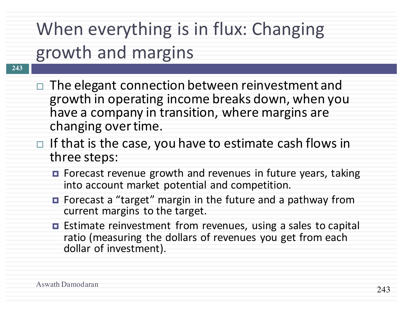# When everything is in flux: Changing growth and margins

- **243**
- $\Box$  The elegant connection between reinvestment and growth in operating income breaks down, when you have a company in transition, where margins are changing over time.
- $\Box$  If that is the case, you have to estimate cash flows in three steps:
	- **□** Forecast revenue growth and revenues in future years, taking into account market potential and competition.
	- Forecast a "target" margin in the future and a pathway from current margins to the target.
	- $\blacksquare$  Estimate reinvestment from revenues, using a sales to capital ratio (measuring the dollars of revenues you get from each dollar of investment).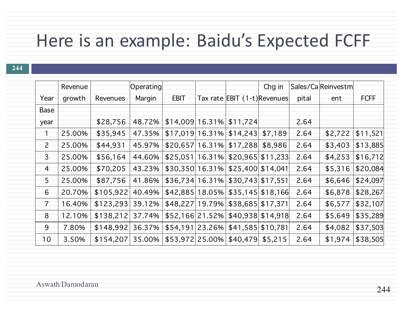## Here is an example: Baidu's Expected FCFF

|                 | Revenue |           | Operating |                    |                                          | Chg in |       | Sales/CaReinvestm |             |
|-----------------|---------|-----------|-----------|--------------------|------------------------------------------|--------|-------|-------------------|-------------|
| Year            | growth  | Revenues  | Margin    | <b>EBIT</b>        | Tax rate EBIT (1-t) Revenues             |        | pital | ent               | <b>FCFF</b> |
| Base            |         |           |           |                    |                                          |        |       |                   |             |
| year            |         | \$28,756  | 48.72%    | $$14,009$ 16.31%   | \$11,724                                 |        | 2.64  |                   |             |
| Τ               | 25.00%  | \$35,945  | 47.35%    | $$17,019$   16.31% | $$14,243$ $$7,189$                       |        | 2.64  | \$2,722           | \$11,521    |
| $\overline{2}$  | 25.00%  | \$44,931  | 45.97%    | $$20,657$   16.31% | $$17,288$ $$8,986$                       |        | 2.64  | \$3,403           | \$13,885    |
| $\overline{3}$  | 25.00%  | \$56,164  | 44.60%    | $$25,051 16.31\%$  | \$20,965  \$11,233                       |        | 2.64  | \$4,253           | \$16,712    |
| $\overline{4}$  | 25.00%  | \$70,205  | 43.23%    | $$30,350 16.31\%$  | \$25,400 \$14,041                        |        | 2.64  | \$5,316           | \$20,084    |
| 5               | 25.00%  | \$87,756  | 41.86%    | $$36,734 16.31\%$  | \$30,743   \$17,551                      |        | 2.64  | \$6,646           | \$24,097    |
| 6               | 20.70%  | \$105,922 | 40.49%    |                    | $$42,885$ 18.05% $$35,145$ \$18,166      |        | 2.64  | \$6,878           | \$28,267    |
| $\overline{7}$  | 16.40%  | \$123,293 | 39.12%    |                    | $$48,227$   19.79%   \$38,685   \$17,371 |        | 2.64  | \$6,577           | \$32,107    |
| 8               | 12.10%  | \$138,212 | 37.74%    | $$52,166$   21.52% | \$40,938  \$14,918                       |        | 2.64  | \$5,649           | \$35,289    |
| 9               | 7.80%   | \$148,992 | 36.37%    |                    | $$54,191$   23.26%   \$41,585   \$10,781 |        | 2.64  | \$4,082           | \$37,503    |
| 10 <sub>1</sub> | 3.50%   | \$154,207 | 35.00%    |                    | $$53,972$  25.00% \$40,479 \$5,215       |        | 2.64  | \$1,974           | \$38,505    |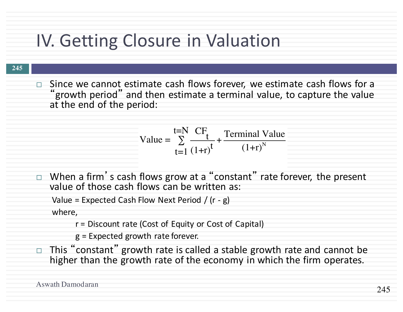## IV. Getting Closure in Valuation

**245**

 $\Box$  Since we cannot estimate cash flows forever, we estimate cash flows for a "growth period" and then estimate a terminal value, to capture the value at the end of the period:

Value = 
$$
\sum_{t=1}^{t=N} \frac{CF_t}{(1+r)^t} + \frac{Terminal Value}{(1+r)^N}
$$

 $\Box$  When a firm's cash flows grow at a "constant" rate forever, the present value of those cash flows can be written as:

```
Value = Expected Cash Flow Next Period / (r - g)
```
where,

 $r =$  Discount rate (Cost of Equity or Cost of Capital)

 $g$  = Expected growth rate forever.

This "constant" growth rate is called a stable growth rate and cannot be higher than the growth rate of the economy in which the firm operates.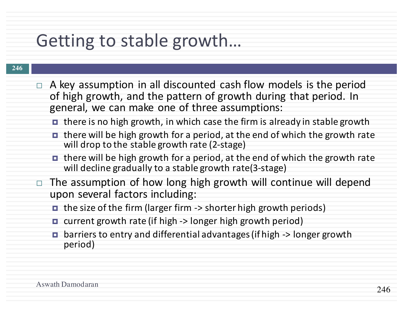## Getting to stable growth...

- A key assumption in all discounted cash flow models is the period of high growth, and the pattern of growth during that period. In general, we can make one of three assumptions:
	- $\blacksquare$  there is no high growth, in which case the firm is already in stable growth
	- $\blacksquare$  there will be high growth for a period, at the end of which the growth rate will drop to the stable growth rate (2-stage)
	- **□** there will be high growth for a period, at the end of which the growth rate will decline gradually to a stable growth rate(3-stage)
- $\Box$  The assumption of how long high growth will continue will depend upon several factors including:
	- $\blacksquare$  the size of the firm (larger firm -> shorter high growth periods)
	- $\blacksquare$  current growth rate (if high  $\rightarrow$  longer high growth period)
	- □ barriers to entry and differential advantages (if high -> longer growth period)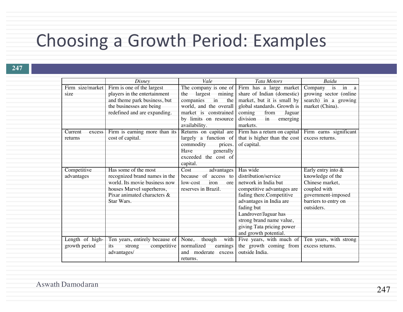### Choosing a Growth Period: Examples

|                   | Disney                         | Vale                     | <b>Tata Motors</b>                              | Baidu                  |
|-------------------|--------------------------------|--------------------------|-------------------------------------------------|------------------------|
| Firm size/market  | Firm is one of the largest     | The company is one of    | Firm has a large market                         | Company is in a        |
| s <sub>1</sub> ze | players in the entertainment   | largest<br>mining<br>the | share of Indian (domestic)                      | growing sector (online |
|                   | and theme park business, but   | companies<br>in the      | market, but it is small by                      | search) in a growing   |
|                   | the businesses are being       | world, and the overall   | global standards. Growth is                     | market (China).        |
|                   | redefined and are expanding.   | market is constrained    | from<br>coming<br>Jaguar                        |                        |
|                   |                                | by limits on resource    | division<br>in<br>emerging                      |                        |
|                   |                                | availability.            | markets.                                        |                        |
| Current<br>excess | Firm is earning more than its  | Returns on capital are   | Firm has a return on capital                    | Firm earns significant |
| returns           | cost of capital.               | largely a function of    | that is higher than the cost                    | excess returns.        |
|                   |                                | commodity<br>prices.     | of capital.                                     |                        |
|                   |                                | Have<br>generally        |                                                 |                        |
|                   |                                | exceeded the cost of     |                                                 |                        |
|                   |                                | capital.                 |                                                 |                        |
| Competitive       | Has some of the most           | Cost<br>advantages       | Has wide                                        | Early entry into $&$   |
| advantages        | recognized brand names in the  | because of access to     | distribution/service                            | knowledge of the       |
|                   | world. Its movie business now  | low-cost<br>iron<br>ore  | network in India but                            | Chinese market,        |
|                   | houses Marvel superheros,      | reserves in Brazil.      | competitive advantages are                      | coupled with           |
|                   | Pixar animated characters &    |                          | fading there.Competitive                        | government-imposed     |
|                   | Star Wars.                     |                          | advantages in India are                         | barriers to entry on   |
|                   |                                |                          | fading but                                      | outsiders.             |
|                   |                                |                          | Landrover/Jaguar has                            |                        |
|                   |                                |                          | strong brand name value,                        |                        |
|                   |                                |                          | giving Tata pricing power                       |                        |
|                   |                                |                          | and growth potential.                           |                        |
| Length of high-   | Ten years, entirely because of | None,<br>though<br>with  | Five years, with much of Ten years, with strong |                        |
| growth period     | competitive<br>strong<br>its   | normalized<br>earnings   | the growth coming from                          | excess returns.        |
|                   | advantages/                    | and moderate excess      | outside India.                                  |                        |
|                   |                                | returns.                 |                                                 |                        |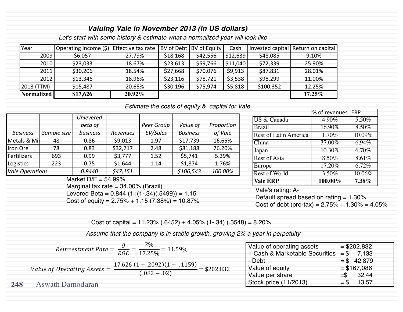#### *Valuing Vale in November 2013 (in US dollars)*

*Let's start with some history & estimate what a normalized year will look like*

| Year              | Operating Income $(\xi)$ Effective tax rate   BV of Debt   BV of Equity |           |          |          | Cash     |           | Invested capital   Return on capital |
|-------------------|-------------------------------------------------------------------------|-----------|----------|----------|----------|-----------|--------------------------------------|
| 2009              | \$6,057                                                                 | 27.79%    | \$18,168 | \$42,556 | \$12,639 | \$48,085  | 9.10%                                |
| 2010              | \$23,033                                                                | 18.67%    | \$23,613 | \$59,766 | \$11,040 | \$72,339  | 25.90%                               |
| 2011              | \$30,206                                                                | 18.54%    | \$27,668 | \$70,076 | \$9,913  | \$87,831  | 28.01%                               |
| 2012              | \$13,346                                                                | 18.96%    | \$23,116 | \$78,721 | \$3,538  | \$98,299  | 11.00%                               |
| (2013 (TTM)       | \$15,487                                                                | 20.65%    | \$30,196 | \$75,974 | \$5,818  | \$100,352 | 12.25%                               |
| <b>Normalized</b> | \$17,626                                                                | $20.92\%$ |          |          |          |           | $17.25\%$                            |

*Estimate the costs of equity & capital for Vale*

|                        |             | <b>Unlevered</b> |          |            |                 |            |
|------------------------|-------------|------------------|----------|------------|-----------------|------------|
|                        |             | beta of          |          | Peer Group | Value of        | Proportion |
| <b>Business</b>        | Sample size | business         | Revenues | EV/Sales   | <b>Business</b> | of Vale    |
| Metals & Mir           | 48          | 0.86             | \$9,013  | 1.97       | \$17,739        | 16.65%     |
| Iron Ore               | 78          | 0.83             | \$32,717 | 2.48       | \$81,188        | 76.20%     |
| Fertilizers            | 693         | 0.99             | \$3,777  | 1.52       | \$5,741         | 5.39%      |
| Logistics              | 223         | 0.75             | \$1,644  | 1.14       | \$1,874         | 1.76%      |
| <b>Vale Operations</b> |             | 0.8440           | \$47,151 |            | \$106,543       | 100.00%    |

Market  $D/E = 54.99\%$ 

Marginal tax rate  $= 34.00\%$  (Brazil)

Levered Beta =  $0.844$  (1+(1-.34)(.5499)) = 1.15 Cost of equity =  $2.75\% + 1.15$  (7.38%) =  $10.87\%$ 

|                              | % of revenues   ERP |          |  |
|------------------------------|---------------------|----------|--|
| <b>US &amp; Canada</b>       | 4.90%               | 5.50%    |  |
| Brazil                       | 16.90%              | 8.50%    |  |
| <b>Rest of Latin America</b> | 1.70%               | 10.09%   |  |
| China                        | 37.00%              | 6.94%    |  |
| Japan                        | 10.30%              | $6.70\%$ |  |
| Rest of Asia                 | 8.50%               | 8.61%    |  |
| Europe                       | 17.20%              | 6.72%    |  |
| Rest of World                | 3.50%               | 10.06%   |  |
| <b>Vale ERP</b>              | $100.00\%$          | 7.38%    |  |

Vale's rating: A-Default spread based on rating  $= 1.30\%$ Cost of debt (pre-tax) =  $2.75% + 1.30% = 4.05%$ 

Cost of capital =  $11.23\%$  (.6452) + 4.05% (1-.34) (.3548) = 8.20%

*Assume that the company is in stable growth, growing 2% a year in perpetuity*

|     |                                               | Reinvestment Rate = $\frac{g}{ROC} = \frac{2\%}{17.25\%} = 11.59\%$ |               | Value of operating assets      |       | $= $202,832$  |
|-----|-----------------------------------------------|---------------------------------------------------------------------|---------------|--------------------------------|-------|---------------|
|     |                                               |                                                                     |               | + Cash & Marketable Securities |       | $= $$ 7,133   |
|     |                                               | $17,626$ $(1-.2092)(1-.1159)$                                       |               | - Debt                         |       | $= $ 42,879$  |
|     | Value of Operating Assets $=$ $\frac{11}{10}$ |                                                                     | $=$ \$202,832 | Value of equity                |       | $=$ \$167,086 |
|     |                                               | $(.082-.02)$                                                        |               | Value per share                |       | $=$ \$ 32.44  |
| 248 | Aswath Damodaran                              |                                                                     |               | Stock price (11/2013)          | $=$ S | 13.57         |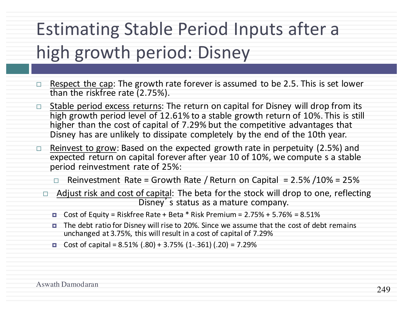# **Estimating Stable Period Inputs after a** high growth period: Disney

- $\Box$  Respect the cap: The growth rate forever is assumed to be 2.5. This is set lower than the riskfree rate  $(2.75%)$ .
- $\Box$  Stable period excess returns: The return on capital for Disney will drop from its high growth period level of  $12.61\%$  to a stable growth return of  $10\%$ . This is still higher than the cost of capital of 7.29% but the competitive advantages that Disney has are unlikely to dissipate completely by the end of the 10th year.
- $\Box$  Reinvest to grow: Based on the expected growth rate in perpetuity (2.5%) and expected return on capital forever after year 10 of 10%, we compute s a stable period reinvestment rate of 25%:
	- $\Box$  Reinvestment Rate = Growth Rate / Return on Capital = 2.5% /10% = 25%
	- □ Adjust risk and cost of capital: The beta for the stock will drop to one, reflecting Disney's status as a mature company.
		- □ Cost of Equity = Riskfree Rate + Beta  $*$  Risk Premium = 2.75% + 5.76% = 8.51%
		- $\blacksquare$  The debt ratio for Disney will rise to 20%. Since we assume that the cost of debt remains unchanged at 3.75%, this will result in a cost of capital of 7.29%
		- Cost of capital =  $8.51\%$  (.80) + 3.75% (1-.361) (.20) = 7.29%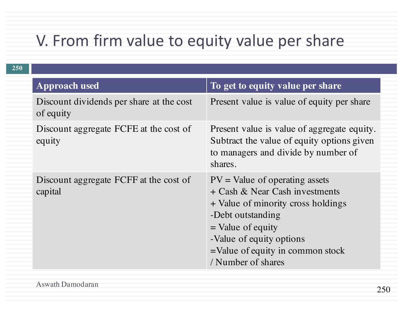#### V. From firm value to equity value per share

| 250 |                                                       |                                                                                                                                                                                                                                               |
|-----|-------------------------------------------------------|-----------------------------------------------------------------------------------------------------------------------------------------------------------------------------------------------------------------------------------------------|
|     | <b>Approach used</b>                                  | To get to equity value per share                                                                                                                                                                                                              |
|     | Discount dividends per share at the cost<br>of equity | Present value is value of equity per share                                                                                                                                                                                                    |
|     | Discount aggregate FCFE at the cost of<br>equity      | Present value is value of aggregate equity.<br>Subtract the value of equity options given<br>to managers and divide by number of<br>shares.                                                                                                   |
|     | Discount aggregate FCFF at the cost of<br>capital     | $PV = Value of operating assets$<br>+ Cash & Near Cash investments<br>+ Value of minority cross holdings<br>-Debt outstanding<br>$=$ Value of equity<br>-Value of equity options<br>$=$ Value of equity in common stock<br>/ Number of shares |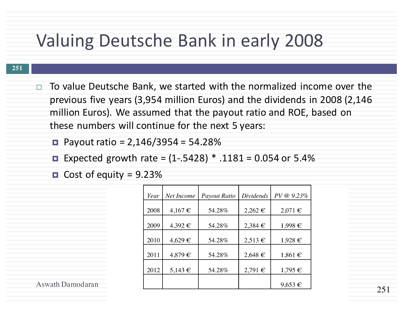#### Valuing Deutsche Bank in early 2008

#### **251**

- $\Box$  To value Deutsche Bank, we started with the normalized income over the previous five years (3,954 million Euros) and the dividends in 2008 (2,146 million Euros). We assumed that the payout ratio and ROE, based on these numbers will continue for the next 5 years:
	- $\blacksquare$  Payout ratio = 2,146/3954 = 54.28%
	- Expected growth rate =  $(1-.5428)$  \* .1181 = 0.054 or 5.4%
	- $\blacksquare$  Cost of equity = 9.23%

| Year | Net Income  | Payout Ratio | Dividends   | PV @ 9.23%  |
|------|-------------|--------------|-------------|-------------|
| 2008 | $4,167 \in$ | 54.28%       | $2,262$ €   | $2,071 \in$ |
| 2009 | 4,392€      | 54.28%       | 2,384€      | 1,998€      |
| 2010 | 4,629€      | 54.28%       | 2,513€      | $1,928 \in$ |
| 2011 | 4,879€      | 54.28%       | $2,648 \in$ | $1,861 \in$ |
| 2012 | 5,143 €     | 54.28%       | $2,791 \in$ | 1,795€      |
|      |             |              |             | $9,653 \in$ |

Aswath Damodaran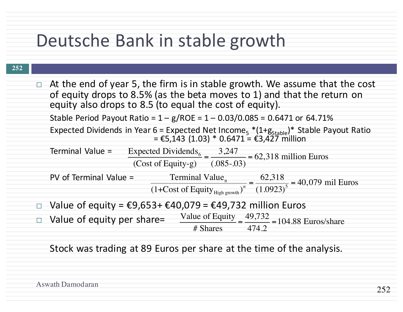### Deutsche Bank in stable growth

#### **252**

| $\Box$ | At the end of year 5, the firm is in stable growth. We assume that the cost<br>of equity drops to 8.5% (as the beta moves to 1) and that the return on<br>equity also drops to 8.5 (to equal the cost of equity). |
|--------|-------------------------------------------------------------------------------------------------------------------------------------------------------------------------------------------------------------------|
|        | Stable Period Payout Ratio = $1 - g/ROE = 1 - 0.03/0.085 = 0.6471$ or 64.71%                                                                                                                                      |
|        | Expected Dividends in Year 6 = Expected Net Income <sub>5</sub> *(1+g <sub>Stable</sub> )* Stable Payout Ratio<br>= €5,143 (1.03) * 0.6471 = €3,427 million                                                       |
|        | Terminal Value =<br>Expected Dividends <sub>6</sub> = $\frac{3,247}{(.085-.03)}$ = 62,318 million Euros                                                                                                           |
|        | PV of Terminal Value =<br>Terminal Value <sub>n</sub> $\frac{62,318}{(1+\text{Cost of Equity}_{High\text{ growth}})^n} = \frac{62,318}{(1.0923)^5} = 40,079 \text{ mil Euros}$                                    |
|        | □ Value of equity = $\epsilon$ 9,653+ $\epsilon$ 40,079 = $\epsilon$ 49,732 million Euros                                                                                                                         |
|        | Value of Equity $=$ $\frac{49,732}{474.2}$ = 104.88 Euros/share<br>□ Value of equity per share=                                                                                                                   |
|        |                                                                                                                                                                                                                   |

Stock was trading at 89 Euros per share at the time of the analysis.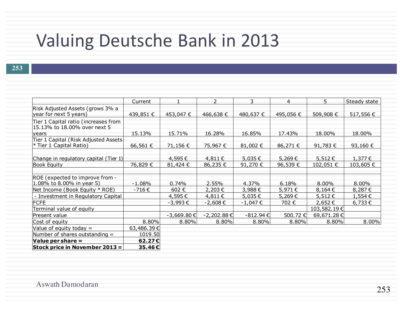### Valuing Deutsche Bank in 2013

|                                                                      | Current    |            | $\overline{2}$  | $\mathsf{3}$  | $\overline{4}$ | 5           | Steady state |
|----------------------------------------------------------------------|------------|------------|-----------------|---------------|----------------|-------------|--------------|
| Risk Adjusted Assets (grows 3% a<br>year for next 5 years)           | 439,851 €  | 453,047€   | 466,638 €       | 480,637 €     | 495,056 €      | 509,908€    | 517,556 €    |
| Tier 1 Capital ratio (increases from<br>15.13% to 18.00% over next 5 |            |            |                 |               |                |             |              |
| years                                                                | 15.13%     | 15.71%     | 16.28%          | 16.85%        | 17.43%         | 18.00%      | 18.00%       |
| Tier 1 Capital (Risk Adjusted Assets<br>$*$ Tier 1 Capital Ratio)    | 66,561€    | 71,156 €   | 75,967€         | 81,002€       | 86,271 €       | 91,783€     | 93,160€      |
| Change in regulatory capital (Tier 1)                                |            | 4,595€     | 4,811€          | 5,035€        | 5,269€         | 5,512 €     | 1,377€       |
| <b>Book Equity</b>                                                   | 76,829€    | 81,424 €   | 86,235 €        | 91,270 €      | 96,539€        | 102,051 €   | 103,605 €    |
|                                                                      |            |            |                 |               |                |             |              |
| ROE (expected to improve from -                                      |            |            |                 |               |                |             |              |
| 1.08% to 8.00% in year 5)                                            | $-1.08%$   | 0.74%      | 2.55%           | 4.37%         | 6.18%          | 8.00%       | 8.00%        |
| Net Income (Book Equity * ROE)                                       | $-716 \in$ | 602€       | 2,203€          | 3,988€        | 5,971€         | 8,164€      | 8,287€       |
| - Investment in Regulatory Capital                                   |            | 4,595€     | 4,811€          | 5,035€        | 5,269€         | 5,512 €     | 1,554€       |
| <b>FCFE</b>                                                          |            | $-3,993€$  | -2,608€         | -1,047 €      | 702€           | 2,652€      | $6,733 \in$  |
| Terminal value of equity                                             |            |            |                 |               |                | 103,582.19€ |              |
| Present value                                                        |            | -3,669.80€ | $-2,202.88 \in$ | $-812.94 \in$ | 500.72€        | 69,671.28€  |              |
| Cost of equity                                                       | 8.80%      | 8.80%      | 8.80%           | 8.80%         | 8.80%          | 8.80%       | $8.00\%$     |
| Value of equity today $=$                                            | 63,486.39€ |            |                 |               |                |             |              |
| Number of shares outstanding $=$                                     | 1019.50    |            |                 |               |                |             |              |
| Value per share $=$                                                  | 62.27C     |            |                 |               |                |             |              |
| Stock price in November 2013 =                                       | 35.46€     |            |                 |               |                |             |              |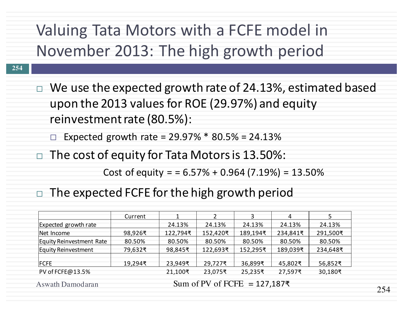### Valuing Tata Motors with a FCFE model in November 2013: The high growth period

- **254**
- $\Box$  We use the expected growth rate of 24.13%, estimated based upon the 2013 values for ROE (29.97%) and equity reinvestment rate (80.5%):
	- Expected growth rate =  $29.97\% * 80.5\% = 24.13\%$
- $\Box$  The cost of equity for Tata Motors is 13.50%:

Cost of equity =  $= 6.57\% + 0.964$  (7.19%) = 13.50%

 $\Box$  The expected FCFE for the high growth period

|                            | Current |          |          | Э<br>ͻ   | 4        |          |
|----------------------------|---------|----------|----------|----------|----------|----------|
| Expected growth rate       |         | 24.13%   | 24.13%   | 24.13%   | 24.13%   | 24.13%   |
| Net Income                 | 98,926₹ | 122,794₹ | 152,420₹ | 189,194₹ | 234,841₹ | 291,500₹ |
| Equity Reinvestment Rate   | 80.50%  | 80.50%   | 80.50%   | 80.50%   | 80.50%   | 80.50%   |
| <b>Equity Reinvestment</b> | 79,632₹ | 98,845₹  | 122,693₹ | 152,295₹ | 189,039₹ | 234,648₹ |
|                            |         |          |          |          |          |          |
| FCFE                       | 19,294₹ | 23,949₹  | 29,727₹  | 36,899₹  | 45,802₹  | 56,852₹  |
| PV of FCFE@13.5%           |         | 21,100₹  | 23,075₹  | 25,235₹  | 27,597₹  | 30,180₹  |
|                            |         |          |          |          |          |          |

Aswath Damodaran

Sum of PV of FCFE =  $127,187$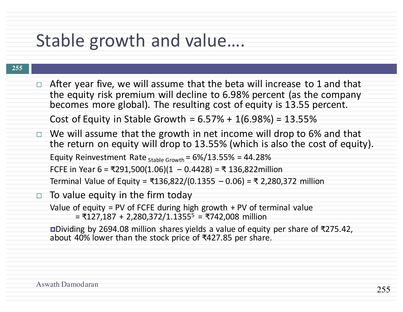### Stable growth and value....

#### **255**

- $\Box$  After year five, we will assume that the beta will increase to 1 and that the equity risk premium will decline to 6.98% percent (as the company becomes more global). The resulting cost of equity is 13.55 percent. Cost of Equity in Stable Growth =  $6.57% + 1(6.98%) = 13.55%$
- $\Box$  We will assume that the growth in net income will drop to 6% and that the return on equity will drop to 13.55% (which is also the cost of equity). Equity Reinvestment Rate  $_{Stable Growth}$  =  $6\%/13.55\%$  = 44.28% FCFE in Year 6 = ₹291,500(1.06)(1 – 0.4428) = ₹ 136,822million Terminal Value of Equity = ₹136,822/(0.1355 - 0.06) = ₹ 2,280,372 million

#### $\Box$  To value equity in the firm today Value of equity = PV of FCFE during high growth  $+$  PV of terminal value  $= ₹127,187 + 2,280,372/1.13555 = ₹742,008$  million

**□Dividing** by 2694.08 million shares yields a value of equity per share of ₹275.42, about 40% lower than the stock price of ₹427.85 per share.